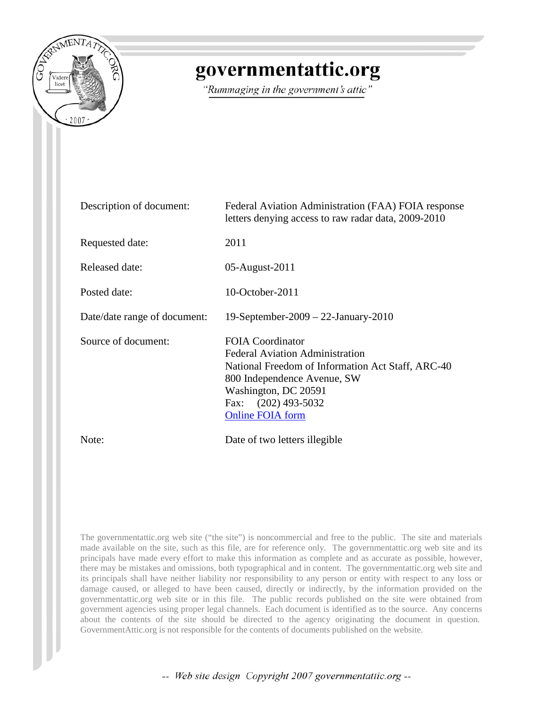

# governmentattic.org

"Rummaging in the government's attic"

| Description of document:     | Federal Aviation Administration (FAA) FOIA response<br>letters denying access to raw radar data, 2009-2010                                                                                                                        |
|------------------------------|-----------------------------------------------------------------------------------------------------------------------------------------------------------------------------------------------------------------------------------|
| Requested date:              | 2011                                                                                                                                                                                                                              |
| <b>Released date:</b>        | 05-August-2011                                                                                                                                                                                                                    |
| Posted date:                 | $10$ -October-2011                                                                                                                                                                                                                |
| Date/date range of document: | 19-September-2009 - 22-January-2010                                                                                                                                                                                               |
| Source of document:          | <b>FOIA Coordinator</b><br><b>Federal Aviation Administration</b><br>National Freedom of Information Act Staff, ARC-40<br>800 Independence Avenue, SW<br>Washington, DC 20591<br>Fax: $(202)$ 493-5032<br><b>Online FOIA form</b> |
| Note:                        | Date of two letters illegible                                                                                                                                                                                                     |

The governmentattic.org web site ("the site") is noncommercial and free to the public. The site and materials made available on the site, such as this file, are for reference only. The governmentattic.org web site and its principals have made every effort to make this information as complete and as accurate as possible, however, there may be mistakes and omissions, both typographical and in content. The governmentattic.org web site and its principals shall have neither liability nor responsibility to any person or entity with respect to any loss or damage caused, or alleged to have been caused, directly or indirectly, by the information provided on the governmentattic.org web site or in this file. The public records published on the site were obtained from government agencies using proper legal channels. Each document is identified as to the source. Any concerns about the contents of the site should be directed to the agency originating the document in question. GovernmentAttic.org is not responsible for the contents of documents published on the website.

-- Web site design Copyright 2007 governmentattic.org --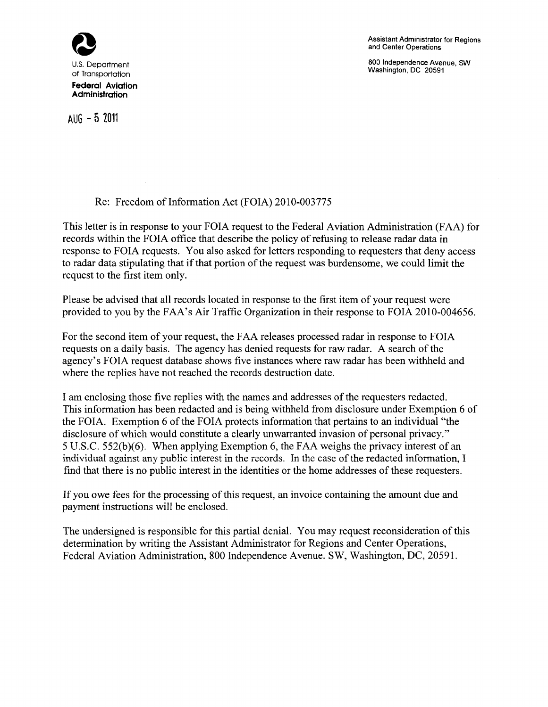

AUG - 5 **<sup>2011</sup>**

Assistant Administrator for Regions and Center Operations

800 Independence Avenue, SW Washington, DC 20591

## Re: Freedom of Information Act (FOIA) 2010-003775

This letter is in response to your FOIA request to the Federal Aviation Administration (FAA) for records within the FOIA office that describe the policy of refusing to release radar data in response to FOIA requests. You also asked for letters responding to requesters that deny access to radar data stipulating that if that portion of the request was burdensome, we could limit the request to the first item only.

Please be advised that all records located in response to the first item of your request were provided to you by the FAA's Air Traffic Organization in their response to FOIA 2010-004656.

For the second item of your request, the FAA releases processed radar in response to FOIA requests on a daily basis. The agency has denied requests for raw radar. A search of the agency's FOIA request database shows five instances where raw radar has been withheld and where the replies have not reached the records destruction date.

I am enclosing those five replies with the names and addresses of the requesters redacted. This information has been redacted and is being withheld from disclosure under Exemption 6 of the FOIA. Exemption 6 of the FOIA protects information that pertains to an individual "the disclosure of which would constitute a clearly unwarranted invasion of personal privacy." 5 U.S.C. 552(b)(6). When applying Exemption 6, the FAA weighs the privacy interest of an individual against any public interest in the records. In the case of the redacted information, I find that there is no public interest in the identities or the home addresses of these requesters.

If you owe fees for the processing of this request, an invoice containing the amount due and payment instructions will be enclosed.

The undersigned is responsible for this partial denial. You may request reconsideration of this determination by writing the Assistant Administrator for Regions and Center Operations, Federal Aviation Administration, 800 Independence Avenue. SW, Washington, DC, 20591.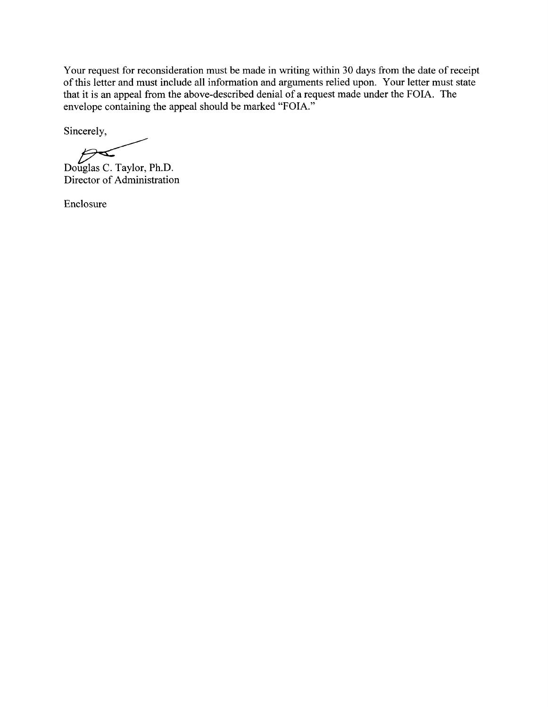Your request for reconsideration must be made in writing within 30 days from the date of receipt of this letter and must include all information and arguments relied upon. Your letter must state that it is an appeal from the above-described denial of a request made under the FOIA. The envelope containing the appeal should be marked "FOIA."

Sincerely,

 $\sum$ Douglas C. Taylor, Ph.D. Director of Administration

Enclosure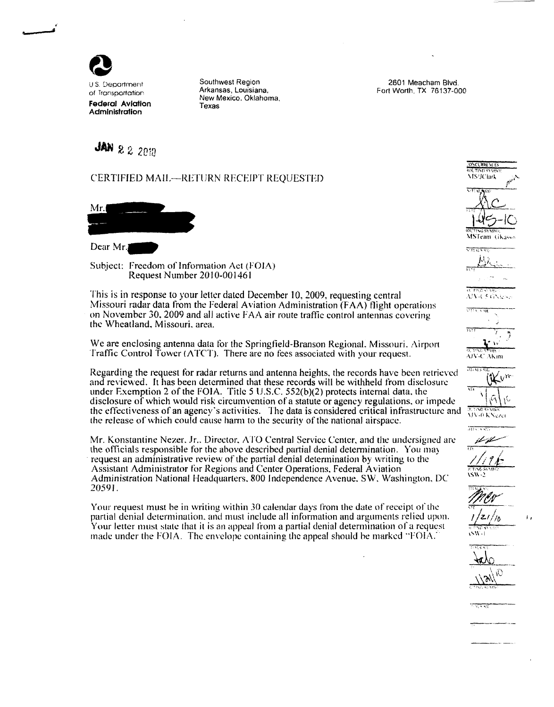

..

-- ........

of Transportation Federal Aviation Administration

u S. CJepartment 2601 Meacham Blvd. Southwest Region Arkansas, Louisiana. New Mexico. Oklahoma, Texas

Fort Worth, TX 76137-000

# **JAN 22 2010**

#### CERTIFfED MAIL--RETURN RECEIPT REQUESTED

 $Mr.$ 

Dear Mr.

Subject: Freedom of information Act (FOJA) Request Number 2010-001461

This is in response to your letter dated December 10, 2009, requesting central Missouri radar data from the Federal Aviation Administration (FAA) flight operations on November 30. 2009 and all active FAA air route traffic control antennas covering the Wheatland, Missouri. area.

We are enclosing antenna data tor the Springfield-Branson Regional. Missouri. Airpon Traffic Control Tower (ATCT). There are no fees associated with your request.

Regarding the request for radar returns and antenna heights, the records have been retrieved and reviewed. It has been determined that these records will be withheld from disclosure under Exemption 2 of the FOIA. Title 5 U .S.C. 552(b)(2) protects internal data. the disclosure of which would risk circumvention of a statute or agency regulations. or impede the effectiveness of an agency's activities. The data is considered critical infrastructure and the release of which could cause harm to the security ofthe national airspace.

Mr. Konstantine Nezer. Jr.. Director. ATO Central Service Center. and the undersigned arc the officials responsible for the above described partial denial determination. You may request an administrative review of the partial denial determination by writing to the Assistant Administrator for Regions and Center Operations, Federal Aviation Administration National Headquarters. 800 Independence Avenue. SW. Washington. DC 20591.

Your request must be in writing within 30 calendar days from the date of receipt of the partial denial determination. and must include all information and arguments relied upon. Your letter must state that it is an appeal from a partial denial determination of a request made under the FOIA. The envelope containing the appeal should be marked "FOIA.

# ONCERRENCES  ${\rm \log n}$  . The system \ IS'JCiark  $\alpha \times$  . It was not when  $\kappa$ **MSTeam** (iKasso III, FING SYNIKA  $\Delta \text{IV-}$ l 5. G $\text{N}_\text{UV}$ '.'''< ''"ft AKin 0. 7iNG 85 MBOL.<br>MU-0. K Ngizer प्राय रक  $#$ 7/19/c  $\overline{D}$  and  $\overline{C}$  . •."f  $t$   $\rightarrow$   $t$   $\rightarrow$   $t$

 $\pi$  in  $\pi$  since  $\pi$  $\sum_{i=1}^{n}$ ----- ; ''·' *..;;:;* 

 $400$ 

I I

 $\sqrt{N}$  $\pi$  ,  $\pi$  ,  $\pi$  ,  $\pi$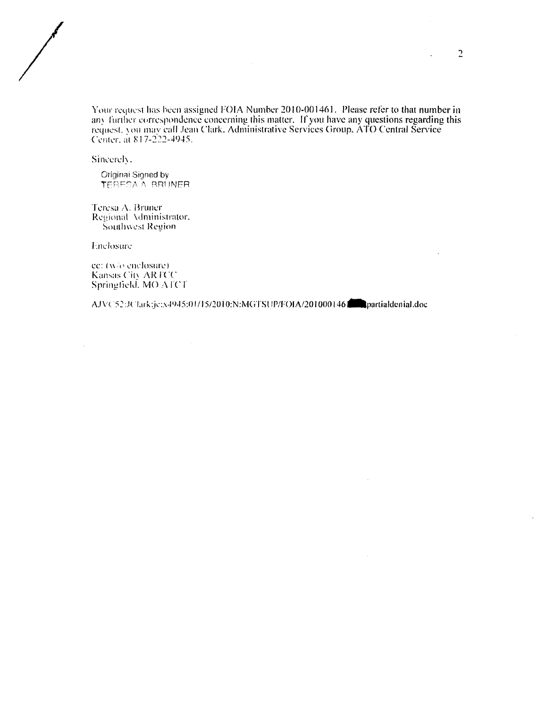Your request has been assigned FOIA Number 2010-001461. Please refer to that number in any further correspondence concerning this matter. If you have any questions regarding this rcqucsL : nu may call .lean Clark. Administrative Services Group. ATO Central Service Center, at 817-222-4945.

Sincerely.

 $\bigg)$ 

Original Signed by TERESA A BRUNER

Teresa A. Bruner Regional Administrator. Southwest Region

Enclosure:

 $\sim$ 

cc:  $(w/\sigma)$  enclosure). Kansas City ARTCC Springfield. MO ATCT

AJVC52:JClark:jc:x4945:01/15/2010:N:MGTSUP/FOIA/201000146-partialdenial.doc

 $\sim$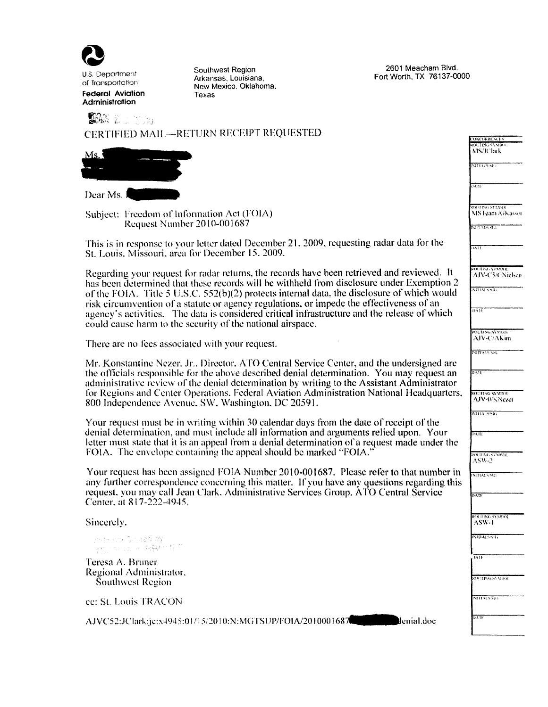

U.S. Deportment of Transportation Federal Aviation **Administration** 

Southwest Region Arkansas, Louisiana, New Mexico. Oklahoma. Texas

2601 Meacham Blvd. Fort Worth, TX 76137-0000

| CERTIFIED MAIL-RETURN RECEIPT REQUESTED                                                                                                                                                                                                                                              | <b>ONCERRENCES</b><br><b>ROUTLING SYNTHON</b>                         |
|--------------------------------------------------------------------------------------------------------------------------------------------------------------------------------------------------------------------------------------------------------------------------------------|-----------------------------------------------------------------------|
| Ms.                                                                                                                                                                                                                                                                                  | MS/IClark                                                             |
|                                                                                                                                                                                                                                                                                      | <b>NITEALS SHIP</b>                                                   |
| Dear Ms.                                                                                                                                                                                                                                                                             | 2211                                                                  |
| Subject: Freedom of Information Act (FOIA)<br>Request Number 2010-001687                                                                                                                                                                                                             | <b>ROUTING SYMBOL</b><br><b>MSTeam /GKassor</b><br><b>INFRALS SIG</b> |
| This is in response to your letter dated December 21, 2009, requesting radar data for the<br>St. Louis, Missouri, area for December 15, 2009.                                                                                                                                        | <b>1411</b>                                                           |
| ROUTING SYMBOL<br>Regarding your request for radar returns, the records have been retrieved and reviewed. It                                                                                                                                                                         |                                                                       |
| has been determined that these records will be withheld from disclosure under Exemption 2<br>of the FOIA. Title 5 U.S.C. 552(b)(2) protects internal data, the disclosure of which would<br>risk circumvention of a statute or agency regulations, or impede the effectiveness of an | $\overline{\text{NTHA} \times \text{NE}}$<br>DAIL                     |
| agency's activities. The data is considered critical infrastructure and the release of which<br>could cause harm to the security of the national airspace.                                                                                                                           |                                                                       |
| There are no fees associated with your request.                                                                                                                                                                                                                                      | <b>ROUTING SYMIEGE</b><br>AJV-C/AKim                                  |
| Mr. Konstantine Nezer, Jr., Director, ATO Central Service Center, and the undersigned are                                                                                                                                                                                            | <b>NITIALS SHE</b>                                                    |
| the officials responsible for the above described denial determination. You may request an<br>administrative review of the denial determination by writing to the Assistant Administrator                                                                                            | $0.8\,\mathrm{tr}$                                                    |
| for Regions and Center Operations. Federal Aviation Administration National Headquarters,<br>800 Independence Avenue, SW, Washington, DC 20591.                                                                                                                                      | ROLITING SYMBOL<br>AJV-0/KNezer                                       |
| Your request must be in writing within 30 calendar days from the date of receipt of the                                                                                                                                                                                              | INTERNATION                                                           |
| denial determination, and must include all information and arguments relied upon. Your<br>letter must state that it is an appeal from a denial determination of a request made under the                                                                                             | $\overline{\text{DATE}}$                                              |
| FOIA. The envelope containing the appeal should be marked "FOIA."                                                                                                                                                                                                                    | ROUTING SYMBOL<br>$ASW-2$                                             |
| Your request has been assigned FOIA Number 2010-001687. Please refer to that number in                                                                                                                                                                                               | <b>NITIALS SRE</b>                                                    |
| any further correspondence concerning this matter. If you have any questions regarding this<br>request, you may call Jean Clark, Administrative Services Group, ATO Central Service<br>Center, at 817-222-4945.                                                                      | DATE                                                                  |
| Sincerely.                                                                                                                                                                                                                                                                           | <b>ROUTING SYMBOL</b><br>ASW-1                                        |
| mer sa Griasá Iny<br><b>TO SEA ARTITE</b>                                                                                                                                                                                                                                            | <b>INEBALS/SIG</b>                                                    |
| Teresa A. Bruner                                                                                                                                                                                                                                                                     | mif                                                                   |
| Regional Administrator.<br>Southwest Region                                                                                                                                                                                                                                          | RUETING SYMBOL                                                        |
| ce: St. Louis TRACON                                                                                                                                                                                                                                                                 | NITALSSIG                                                             |
| AJVC52:JClark:je:x4945:01/15/2010:N:MGTSUP/FOIA/2010001687<br>denial.doc                                                                                                                                                                                                             | DATE                                                                  |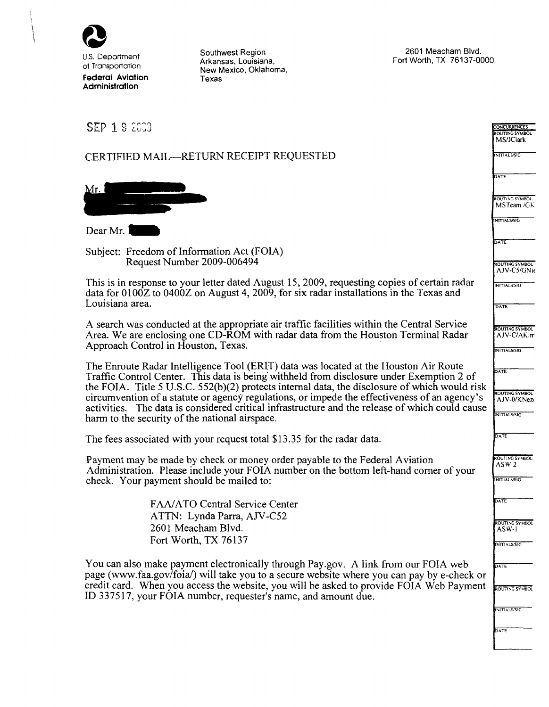

Southwest Region Arkansas, Louisiana, New Mexico, Oklahoma, Texas

2601 Meacham Blvd. Fort Worth, TX 76137-0000

| <b>SEP 1 9 2003</b>                                                                                                                                                                           | <b>CONCURRENCES</b>                  |
|-----------------------------------------------------------------------------------------------------------------------------------------------------------------------------------------------|--------------------------------------|
|                                                                                                                                                                                               | ROUTING SYMBOL<br>MS/JClark          |
| CERTIFIED MAIL-RETURN RECEIPT REQUESTED                                                                                                                                                       | INITIALS/SIG                         |
|                                                                                                                                                                                               | DATE                                 |
| Mr.                                                                                                                                                                                           | ROUTING SYMBOL                       |
|                                                                                                                                                                                               | MSTeam /GK                           |
| Dear Mr.                                                                                                                                                                                      | <b>INITIALS/SIC</b>                  |
|                                                                                                                                                                                               | <b>DATE</b>                          |
| Subject: Freedom of Information Act (FOIA)<br>Request Number 2009-006494                                                                                                                      | <b>ROUTING SYMBOL</b>                |
| This is in response to your letter dated August 15, 2009, requesting copies of certain radar                                                                                                  | AJV-C5/GNie                          |
| data for $0100Z$ to $0400Z$ on August 4, 2009, for six radar installations in the Texas and                                                                                                   | INITIALS/SIG                         |
| Louisiana area.                                                                                                                                                                               | DATE                                 |
| A search was conducted at the appropriate air traffic facilities within the Central Service                                                                                                   | ROUTING SYMBOL                       |
| Area. We are enclosing one CD-ROM with radar data from the Houston Terminal Radar<br>Approach Control in Houston, Texas.                                                                      | AJV-C/AKim<br><b>INITIALS/SIG</b>    |
| The Enroute Radar Intelligence Tool (ERIT) data was located at the Houston Air Route                                                                                                          |                                      |
| Traffic Control Center. This data is being withheld from disclosure under Exemption 2 of                                                                                                      | DATE                                 |
| the FOIA. Title 5 U.S.C. 552(b)(2) protects internal data, the disclosure of which would risk<br>circumvention of a statute or agency regulations, or impede the effectiveness of an agency's | <b>ROUTING SYMBOL</b><br>AJV-0/KNezi |
| activities. The data is considered critical infrastructure and the release of which could cause<br>harm to the security of the national airspace.                                             | <b>INITIALS/SIG</b>                  |
|                                                                                                                                                                                               | <b>DATE</b>                          |
| The fees associated with your request total \$13.35 for the radar data.                                                                                                                       |                                      |
| Payment may be made by check or money order payable to the Federal Aviation<br>Administration. Please include your FOIA number on the bottom left-hand corner of your                         | ROUTING SYMBOL<br>$ASW-2$            |
| check. Your payment should be mailed to:                                                                                                                                                      | <b>INITIALS/SIG</b>                  |
| FAA/ATO Central Service Center                                                                                                                                                                | DATE                                 |
| ATTN: Lynda Parra, AJV-C52                                                                                                                                                                    |                                      |
| 2601 Meacham Blvd.                                                                                                                                                                            | ROUTING SYMBOL<br>ASW-1              |
| Fort Worth, TX 76137                                                                                                                                                                          | INITIALS/SIG                         |
| You can also make payment electronically through Pay.gov. A link from our FOIA web                                                                                                            | DATE                                 |
| page (www.faa.gov/foia/) will take you to a secure website where you can pay by e-check or<br>credit card. When you access the website, you will be asked to provide FOIA Web Payment         |                                      |
| ID 337517, your FOIA number, requester's name, and amount due.                                                                                                                                | <b>ROUTING SYMBOL</b>                |
|                                                                                                                                                                                               | INITIALS/SIG                         |
|                                                                                                                                                                                               | DATE                                 |
|                                                                                                                                                                                               |                                      |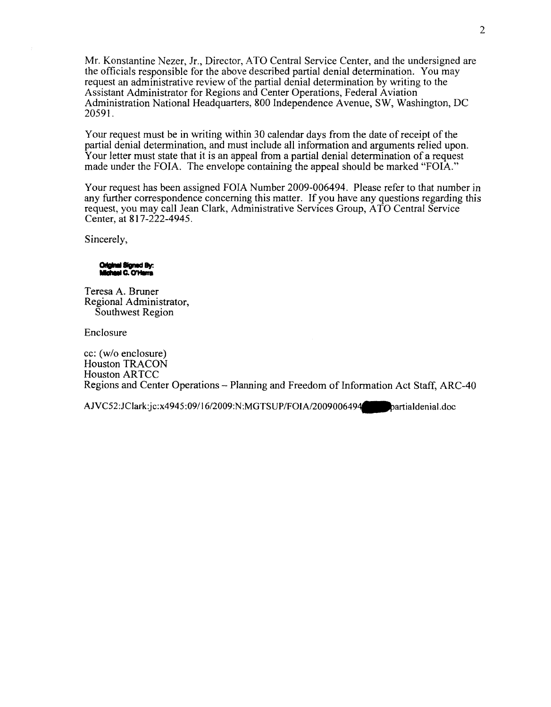Mr. Konstantine Nezer, Jr., Director, A TO Central Service Center, and the undersigned are the officials responsible for the above described partial denial determination. You may request an administrative review of the partial denial determination by writing to the Assistant Administrator for Regions and Center Operations, Federal Aviation Administration National Headquarters, 800 Independence Avenue, SW, Washington, DC 20591.

Your request must be in writing within 30 calendar days from the date of receipt of the partial denial determination, and must include all information and arguments relied upon. Your letter must state that it is an appeal from a partial denial determination of a request made under the FOIA. The envelope containing the appeal should be marked "FOIA."

Your request has been assigned FOIA Number 2009-006494. Please refer to that number in any further correspondence concerning this matter. If you have any questions regarding this request, you may call Jean Clark, Administrative Services Group, A TO Central Service Center, at 817-222-4945.

Sincerely,

Original Signed By: **Ichael C. O'Herra** 

Teresa A. Bruner Regional Administrator, Southwest Region

Enclosure

cc: (w/o enclosure) Houston TRACON Houston AR TCC Regions and Center Operations - Planning and Freedom of Information Act Staff, ARC-40

AJVC52:JClark:jc:x4945:09/16/2009:N:MGTSUP/FOIA/2009006494 partialdenial.doc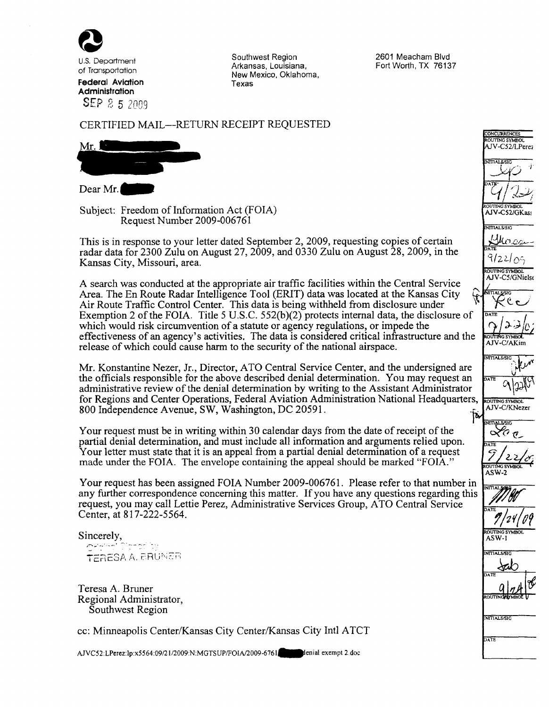

U.S. Department of Transportation **Federal Aviation Administration**  SEP 2 5 2009 Southwest Region Arkansas, Louisiana, New Mexico, Oklahoma, Texas

2601 Meacham Blvd Fort Worth, TX 76137

### CERTIFIED MAIL-RETURN RECEIPT REQUESTED

 $Mr.1$ 

Dear Mr.

Subject: Freedom of Information Act (FOIA) Request Number 2009-006761

This is in response to your letter dated September 2, 2009, requesting copies of certain radar data for 2300 Zulu on August 27, 2009, and 0330 Zulu on August 28, 2009, in the Kansas City, Missouri, area.

A search was conducted at the appropriate air traffic facilities within the Central Service Area. The En Route Radar Intelligence Tool (ERIT) data was located at the Kansas City <sup>~</sup> Air Route Traffic Control Center. This data is being withheld from disclosure under Exemption 2 of the FOIA. Title 5 U.S.C.  $552(b)(2)$  protects internal data, the disclosure of which would risk circumvention of a statute or agency regulations, or impede the effectiveness of an agency's activities. The data is considered critical infrastructure and the release of which could cause harm to the security of the national airspace.

Mr. Konstantine Nezer, Jr., Director, ATO Central Service Center, and the undersigned are the officials responsible for the above described denial determination. You may request an administrative review of the denial determination by writing to the Assistant Administrator for Regions and Center Operations, Federal Aviation Administration National Headquarters, 800 Independence Avenue, SW, Washington, DC 20591.  $|\boldsymbol{b}|$ 

Your request must be in writing within 30 calendar days from the date of receipt of the partial denial determination, and must include all information and arguments relied upon. Your letter must state that it is an appeal from a partial denial determination of a request made under the FOIA. The envelope containing the appeal should be marked "FOIA."

Your request has been assigned FOIA Number 2009-006761. Please refer to that number in any further correspondence concerning this matter. If you have any questions regarding this request, you may call Lettie Perez, Administrative Services Group, A TO Central Service Center, at 817-222-5564.

Sincerely,  $\sim$   $\sim$   $\sim$   $\sim$   $\sim$   $\sim$   $\sim$ TERESA A. ERUNER

Teresa A. Bruner Regional Administrator, Southwest Region

cc: Minneapolis Center/Kansas City Center/Kansas City Inti A TCT

AJVC52:LPerez:lp:x5564:09/21/2009:N:MGTSUP/FOIA/2009-6761 jenial exempt 2.doc

AJV-C/AKim IN111ALS/SIG ~  $\sim$  ry v OUTING SYMBOL AJV-C/KNezer **TITAL SISIG**  $\sigma$  or ASW-2

 $\mathbb{Z}$ 

AIV-C52/I Peres

ONCURRENCE **OUTDAG SYMPO** 

 $\mathcal{I}$ /  $\mathcal{I}$ 

AJV-C52/GKass **TITAL SISIC** 

ने/22/ $_{\rm O}$ ् **OUTING SYMBOL** AJV-C5/GNielse



ASW-1



INITIALS/SIG

ATE